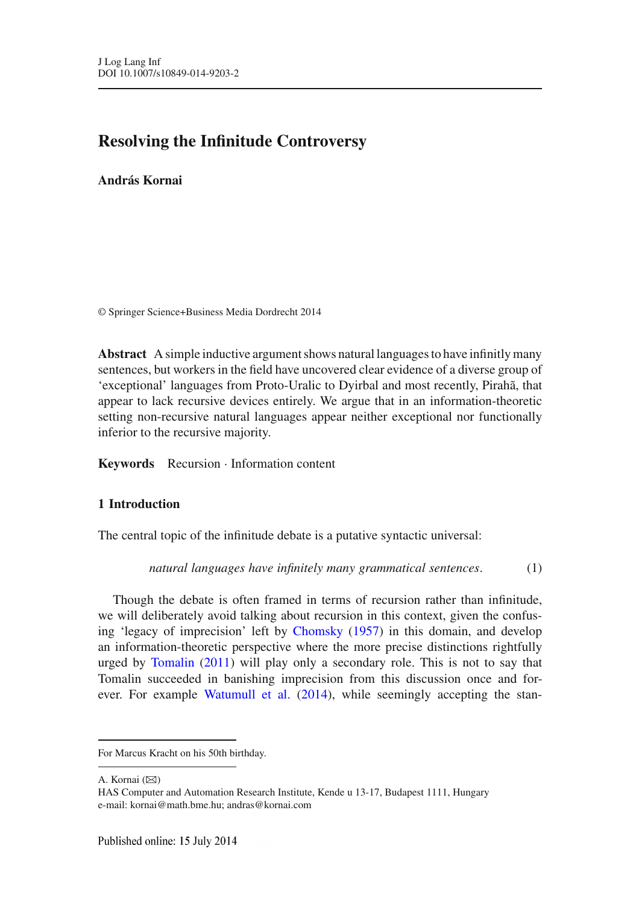# **Resolving the Infinitude Controversy**

**András Kornai**

© Springer Science+Business Media Dordrecht 2014

**Abstract** A simple inductive argument shows natural languages to have infinitly many sentences, but workers in the field have uncovered clear evidence of a diverse group of 'exceptional' languages from Proto-Uralic to Dyirbal and most recently, Pirahã, that appear to lack recursive devices entirely. We argue that in an information-theoretic setting non-recursive natural languages appear neither exceptional nor functionally inferior to the recursive majority.

**Keywords** Recursion · Information content

# **1 Introduction**

The central topic of the infinitude debate is a putative syntactic universal:

*natural languages have infinitely many grammatical sentences*. (1)

Though the debate is often framed in terms of recursion rather than infinitude, we will deliberately avoid talking about recursion in this context, given the confusing 'legacy of imprecision' left by Chomsky (1957) in this domain, and develop an information-theoretic perspective where the more precise distinctions rightfully urged by Tomalin (2011) will play only a secondary role. This is not to say that Tomalin succeeded in banishing imprecision from this discussion once and forever. For example Watumull et al. (2014), while seemingly accepting the stan-

For Marcus Kracht on his 50th birthday.

A. Kornai  $(\boxtimes)$ 

HAS Computer and Automation Research Institute, Kende u 13-17, Budapest 1111, Hungary e-mail: kornai@math.bme.hu; andras@kornai.com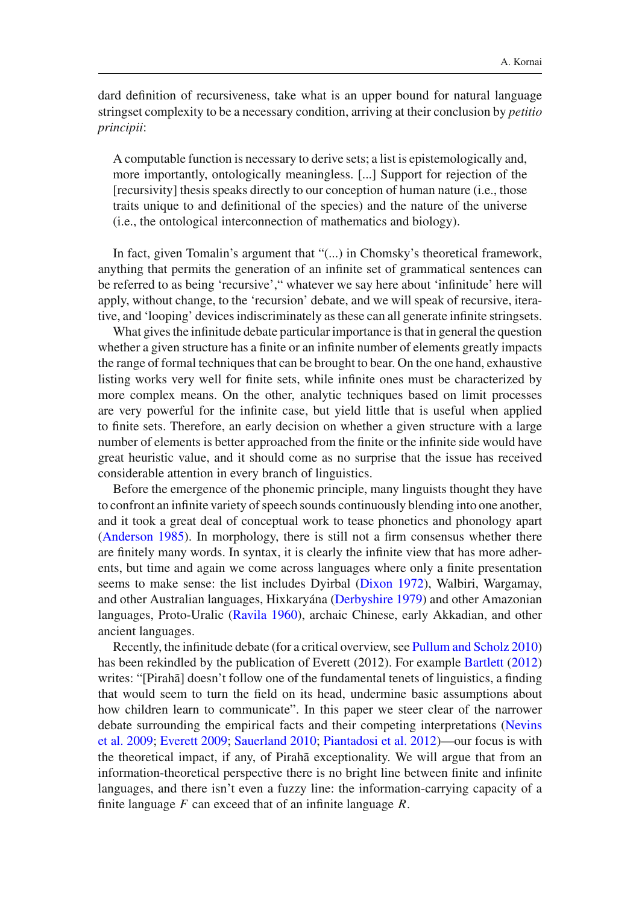dard definition of recursiveness, take what is an upper bound for natural language stringset complexity to be a necessary condition, arriving at their conclusion by *petitio principii*:

A computable function is necessary to derive sets; a list is epistemologically and, more importantly, ontologically meaningless. [...] Support for rejection of the [recursivity] thesis speaks directly to our conception of human nature (i.e., those traits unique to and definitional of the species) and the nature of the universe (i.e., the ontological interconnection of mathematics and biology).

In fact, given Tomalin's argument that "(...) in Chomsky's theoretical framework, anything that permits the generation of an infinite set of grammatical sentences can be referred to as being 'recursive'," whatever we say here about 'infinitude' here will apply, without change, to the 'recursion' debate, and we will speak of recursive, iterative, and 'looping' devices indiscriminately as these can all generate infinite stringsets.

What gives the infinitude debate particular importance is that in general the question whether a given structure has a finite or an infinite number of elements greatly impacts the range of formal techniques that can be brought to bear. On the one hand, exhaustive listing works very well for finite sets, while infinite ones must be characterized by more complex means. On the other, analytic techniques based on limit processes are very powerful for the infinite case, but yield little that is useful when applied to finite sets. Therefore, an early decision on whether a given structure with a large number of elements is better approached from the finite or the infinite side would have great heuristic value, and it should come as no surprise that the issue has received considerable attention in every branch of linguistics.

Before the emergence of the phonemic principle, many linguists thought they have to confront an infinite variety of speech sounds continuously blending into one another, and it took a great deal of conceptual work to tease phonetics and phonology apart (Anderson 1985). In morphology, there is still not a firm consensus whether there are finitely many words. In syntax, it is clearly the infinite view that has more adherents, but time and again we come across languages where only a finite presentation seems to make sense: the list includes Dyirbal (Dixon 1972), Walbiri, Wargamay, and other Australian languages, Hixkaryána (Derbyshire 1979) and other Amazonian languages, Proto-Uralic (Ravila 1960), archaic Chinese, early Akkadian, and other ancient languages.

Recently, the infinitude debate (for a critical overview, see Pullum and Scholz 2010) has been rekindled by the publication of Everett (2012). For example Bartlett (2012) writes: "[Pirahã] doesn't follow one of the fundamental tenets of linguistics, a finding that would seem to turn the field on its head, undermine basic assumptions about how children learn to communicate". In this paper we steer clear of the narrower debate surrounding the empirical facts and their competing interpretations (Nevins et al. 2009; Everett 2009; Sauerland 2010; Piantadosi et al. 2012)—our focus is with the theoretical impact, if any, of Pirahã exceptionality. We will argue that from an information-theoretical perspective there is no bright line between finite and infinite languages, and there isn't even a fuzzy line: the information-carrying capacity of a finite language *F* can exceed that of an infinite language *R*.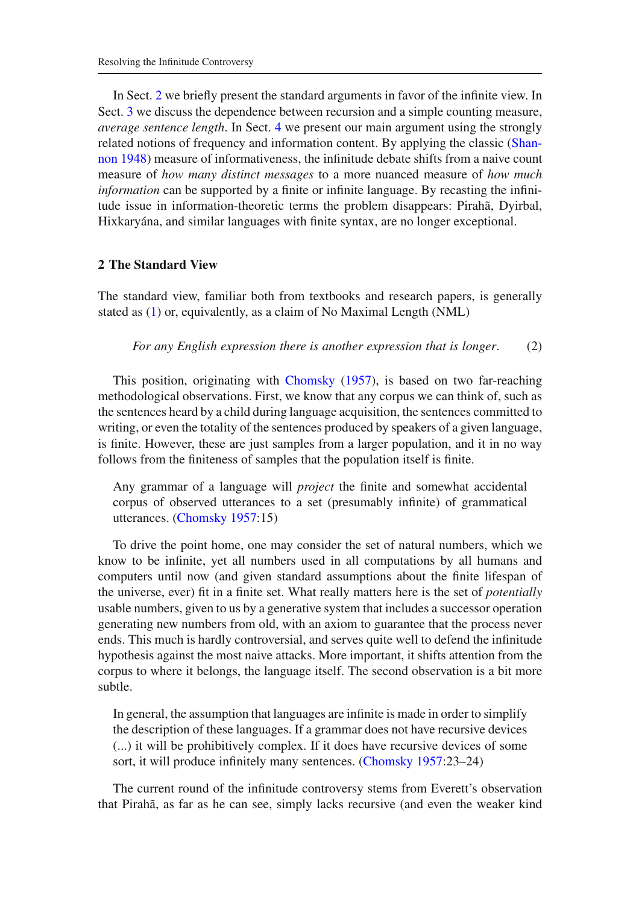In Sect. 2 we briefly present the standard arguments in favor of the infinite view. In Sect. 3 we discuss the dependence between recursion and a simple counting measure, *average sentence length*. In Sect. 4 we present our main argument using the strongly related notions of frequency and information content. By applying the classic (Shannon 1948) measure of informativeness, the infinitude debate shifts from a naive count measure of *how many distinct messages* to a more nuanced measure of *how much information* can be supported by a finite or infinite language. By recasting the infinitude issue in information-theoretic terms the problem disappears: Pirahã, Dyirbal, Hixkaryána, and similar languages with finite syntax, are no longer exceptional.

#### **2 The Standard View**

The standard view, familiar both from textbooks and research papers, is generally stated as (1) or, equivalently, as a claim of No Maximal Length (NML)

*For any English expression there is another expression that is longer*. (2)

This position, originating with Chomsky (1957), is based on two far-reaching methodological observations. First, we know that any corpus we can think of, such as the sentences heard by a child during language acquisition, the sentences committed to writing, or even the totality of the sentences produced by speakers of a given language, is finite. However, these are just samples from a larger population, and it in no way follows from the finiteness of samples that the population itself is finite.

Any grammar of a language will *project* the finite and somewhat accidental corpus of observed utterances to a set (presumably infinite) of grammatical utterances. (Chomsky 1957:15)

To drive the point home, one may consider the set of natural numbers, which we know to be infinite, yet all numbers used in all computations by all humans and computers until now (and given standard assumptions about the finite lifespan of the universe, ever) fit in a finite set. What really matters here is the set of *potentially* usable numbers, given to us by a generative system that includes a successor operation generating new numbers from old, with an axiom to guarantee that the process never ends. This much is hardly controversial, and serves quite well to defend the infinitude hypothesis against the most naive attacks. More important, it shifts attention from the corpus to where it belongs, the language itself. The second observation is a bit more subtle.

In general, the assumption that languages are infinite is made in order to simplify the description of these languages. If a grammar does not have recursive devices (...) it will be prohibitively complex. If it does have recursive devices of some sort, it will produce infinitely many sentences. (Chomsky 1957:23–24)

The current round of the infinitude controversy stems from Everett's observation that Pirahã, as far as he can see, simply lacks recursive (and even the weaker kind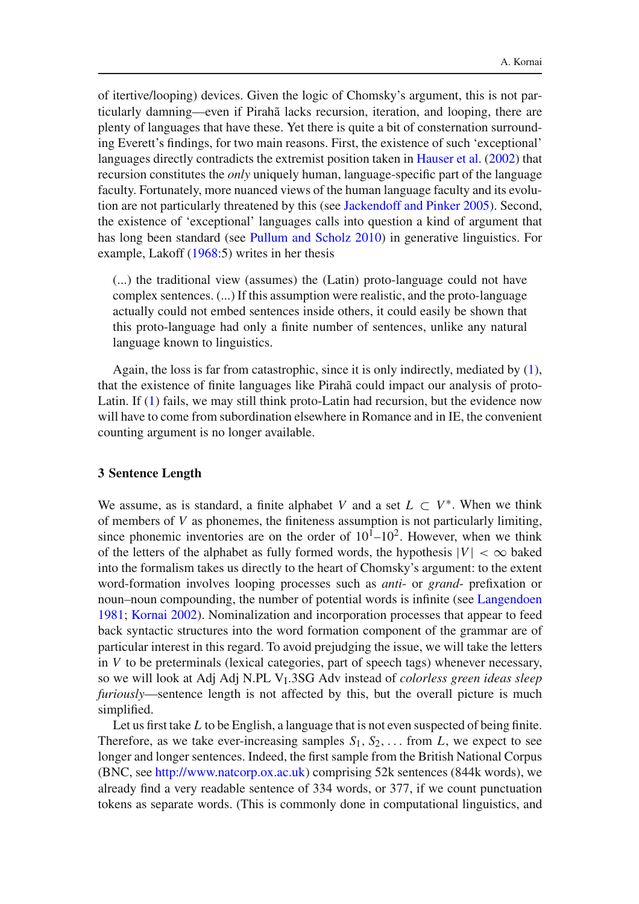of itertive/looping) devices. Given the logic of Chomsky's argument, this is not particularly damning—even if Pirahã lacks recursion, iteration, and looping, there are plenty of languages that have these. Yet there is quite a bit of consternation surrounding Everett's findings, for two main reasons. First, the existence of such 'exceptional' languages directly contradicts the extremist position taken in Hauser et al. (2002) that recursion constitutes the *only* uniquely human, language-specific part of the language faculty. Fortunately, more nuanced views of the human language faculty and its evolution are not particularly threatened by this (see Jackendoff and Pinker 2005). Second, the existence of 'exceptional' languages calls into question a kind of argument that has long been standard (see Pullum and Scholz 2010) in generative linguistics. For example, Lakoff (1968:5) writes in her thesis

(...) the traditional view (assumes) the (Latin) proto-language could not have complex sentences. (...) If this assumption were realistic, and the proto-language actually could not embed sentences inside others, it could easily be shown that this proto-language had only a finite number of sentences, unlike any natural language known to linguistics.

Again, the loss is far from catastrophic, since it is only indirectly, mediated by (1), that the existence of finite languages like Pirahã could impact our analysis of proto-Latin. If (1) fails, we may still think proto-Latin had recursion, but the evidence now will have to come from subordination elsewhere in Romance and in IE, the convenient counting argument is no longer available.

#### **3 Sentence Length**

We assume, as is standard, a finite alphabet *V* and a set  $L \subset V^*$ . When we think of members of *V* as phonemes, the finiteness assumption is not particularly limiting, since phonemic inventories are on the order of  $10<sup>1</sup>–10<sup>2</sup>$ . However, when we think of the letters of the alphabet as fully formed words, the hypothesis  $|V| < \infty$  baked into the formalism takes us directly to the heart of Chomsky's argument: to the extent word-formation involves looping processes such as *anti*- or *grand*- prefixation or noun–noun compounding, the number of potential words is infinite (see Langendoen 1981; Kornai 2002). Nominalization and incorporation processes that appear to feed back syntactic structures into the word formation component of the grammar are of particular interest in this regard. To avoid prejudging the issue, we will take the letters in *V* to be preterminals (lexical categories, part of speech tags) whenever necessary, so we will look at Adj Adj N.PL VI.3SG Adv instead of *colorless green ideas sleep furiously*—sentence length is not affected by this, but the overall picture is much simplified.

Let us first take *L* to be English, a language that is not even suspected of being finite. Therefore, as we take ever-increasing samples  $S_1, S_2, \ldots$  from *L*, we expect to see longer and longer sentences. Indeed, the first sample from the British National Corpus (BNC, see http://www.natcorp.ox.ac.uk) comprising 52k sentences (844k words), we already find a very readable sentence of 334 words, or 377, if we count punctuation tokens as separate words. (This is commonly done in computational linguistics, and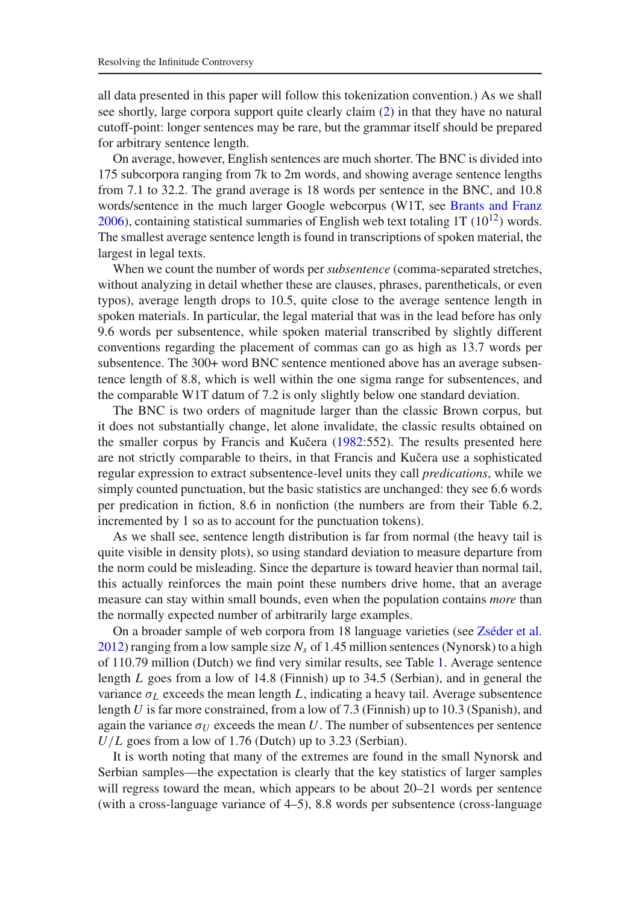all data presented in this paper will follow this tokenization convention.) As we shall see shortly, large corpora support quite clearly claim (2) in that they have no natural cutoff-point: longer sentences may be rare, but the grammar itself should be prepared for arbitrary sentence length.

On average, however, English sentences are much shorter. The BNC is divided into 175 subcorpora ranging from 7k to 2m words, and showing average sentence lengths from 7.1 to 32.2. The grand average is 18 words per sentence in the BNC, and 10.8 words/sentence in the much larger Google webcorpus (W1T, see Brants and Franz 2006), containing statistical summaries of English web text totaling 1T  $(10^{12})$  words. The smallest average sentence length is found in transcriptions of spoken material, the largest in legal texts.

When we count the number of words per *subsentence* (comma-separated stretches, without analyzing in detail whether these are clauses, phrases, parentheticals, or even typos), average length drops to 10.5, quite close to the average sentence length in spoken materials. In particular, the legal material that was in the lead before has only 9.6 words per subsentence, while spoken material transcribed by slightly different conventions regarding the placement of commas can go as high as 13.7 words per subsentence. The 300+ word BNC sentence mentioned above has an average subsentence length of 8.8, which is well within the one sigma range for subsentences, and the comparable W1T datum of 7.2 is only slightly below one standard deviation.

The BNC is two orders of magnitude larger than the classic Brown corpus, but it does not substantially change, let alone invalidate, the classic results obtained on the smaller corpus by Francis and Kučera (1982:552). The results presented here are not strictly comparable to theirs, in that Francis and Kučera use a sophisticated regular expression to extract subsentence-level units they call *predications*, while we simply counted punctuation, but the basic statistics are unchanged: they see 6.6 words per predication in fiction, 8.6 in nonfiction (the numbers are from their Table 6.2, incremented by 1 so as to account for the punctuation tokens).

As we shall see, sentence length distribution is far from normal (the heavy tail is quite visible in density plots), so using standard deviation to measure departure from the norm could be misleading. Since the departure is toward heavier than normal tail, this actually reinforces the main point these numbers drive home, that an average measure can stay within small bounds, even when the population contains *more* than the normally expected number of arbitrarily large examples.

On a broader sample of web corpora from 18 language varieties (see Zséder et al. 2012) ranging from a low sample size  $N_s$  of 1.45 million sentences (Nynorsk) to a high of 110.79 million (Dutch) we find very similar results, see Table 1. Average sentence length *L* goes from a low of 14.8 (Finnish) up to 34.5 (Serbian), and in general the variance  $\sigma_L$  exceeds the mean length  $L$ , indicating a heavy tail. Average subsentence length *U* is far more constrained, from a low of 7.3 (Finnish) up to 10.3 (Spanish), and again the variance  $\sigma_U$  exceeds the mean U. The number of subsentences per sentence *U*/*L* goes from a low of 1.76 (Dutch) up to 3.23 (Serbian).

It is worth noting that many of the extremes are found in the small Nynorsk and Serbian samples—the expectation is clearly that the key statistics of larger samples will regress toward the mean, which appears to be about 20–21 words per sentence (with a cross-language variance of 4–5), 8.8 words per subsentence (cross-language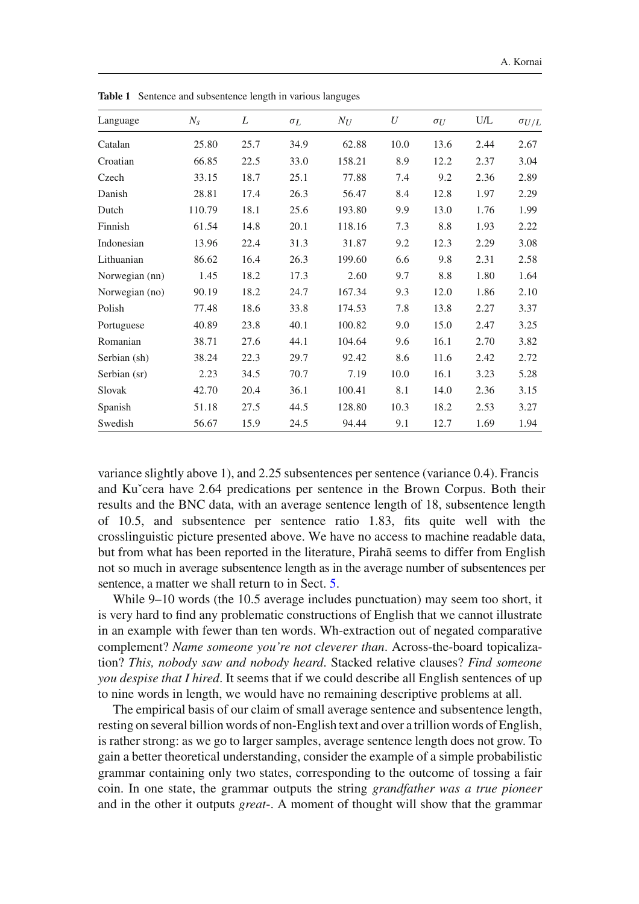| Language       | $N_{\rm s}$ | L    | $\sigma_L$ | $N_U$  | U    | $\sigma_U$ | U/L  | $\sigma_{U/L}$ |
|----------------|-------------|------|------------|--------|------|------------|------|----------------|
| Catalan        | 25.80       | 25.7 | 34.9       | 62.88  | 10.0 | 13.6       | 2.44 | 2.67           |
| Croatian       | 66.85       | 22.5 | 33.0       | 158.21 | 8.9  | 12.2       | 2.37 | 3.04           |
| Czech          | 33.15       | 18.7 | 25.1       | 77.88  | 7.4  | 9.2        | 2.36 | 2.89           |
| Danish         | 28.81       | 17.4 | 26.3       | 56.47  | 8.4  | 12.8       | 1.97 | 2.29           |
| Dutch          | 110.79      | 18.1 | 25.6       | 193.80 | 9.9  | 13.0       | 1.76 | 1.99           |
| Finnish        | 61.54       | 14.8 | 20.1       | 118.16 | 7.3  | 8.8        | 1.93 | 2.22           |
| Indonesian     | 13.96       | 22.4 | 31.3       | 31.87  | 9.2  | 12.3       | 2.29 | 3.08           |
| Lithuanian     | 86.62       | 16.4 | 26.3       | 199.60 | 6.6  | 9.8        | 2.31 | 2.58           |
| Norwegian (nn) | 1.45        | 18.2 | 17.3       | 2.60   | 9.7  | 8.8        | 1.80 | 1.64           |
| Norwegian (no) | 90.19       | 18.2 | 24.7       | 167.34 | 9.3  | 12.0       | 1.86 | 2.10           |
| Polish         | 77.48       | 18.6 | 33.8       | 174.53 | 7.8  | 13.8       | 2.27 | 3.37           |
| Portuguese     | 40.89       | 23.8 | 40.1       | 100.82 | 9.0  | 15.0       | 2.47 | 3.25           |
| Romanian       | 38.71       | 27.6 | 44.1       | 104.64 | 9.6  | 16.1       | 2.70 | 3.82           |
| Serbian (sh)   | 38.24       | 22.3 | 29.7       | 92.42  | 8.6  | 11.6       | 2.42 | 2.72           |
| Serbian (sr)   | 2.23        | 34.5 | 70.7       | 7.19   | 10.0 | 16.1       | 3.23 | 5.28           |
| Slovak         | 42.70       | 20.4 | 36.1       | 100.41 | 8.1  | 14.0       | 2.36 | 3.15           |
| Spanish        | 51.18       | 27.5 | 44.5       | 128.80 | 10.3 | 18.2       | 2.53 | 3.27           |
| Swedish        | 56.67       | 15.9 | 24.5       | 94.44  | 9.1  | 12.7       | 1.69 | 1.94           |

**Table 1** Sentence and subsentence length in various languges

variance slightly above 1), and 2.25 subsentences per sentence (variance 0.4). Francis and Kuˇcera have 2.64 predications per sentence in the Brown Corpus. Both their results and the BNC data, with an average sentence length of 18, subsentence length of 10.5, and subsentence per sentence ratio 1.83, fits quite well with the crosslinguistic picture presented above. We have no access to machine readable data, but from what has been reported in the literature, Pirahã seems to differ from English not so much in average subsentence length as in the average number of subsentences per sentence, a matter we shall return to in Sect. 5.

While 9–10 words (the 10.5 average includes punctuation) may seem too short, it is very hard to find any problematic constructions of English that we cannot illustrate in an example with fewer than ten words. Wh-extraction out of negated comparative complement? *Name someone you're not cleverer than*. Across-the-board topicalization? *This, nobody saw and nobody heard*. Stacked relative clauses? *Find someone you despise that I hired*. It seems that if we could describe all English sentences of up to nine words in length, we would have no remaining descriptive problems at all.

The empirical basis of our claim of small average sentence and subsentence length, resting on several billion words of non-English text and over a trillion words of English, is rather strong: as we go to larger samples, average sentence length does not grow. To gain a better theoretical understanding, consider the example of a simple probabilistic grammar containing only two states, corresponding to the outcome of tossing a fair coin. In one state, the grammar outputs the string *grandfather was a true pioneer* and in the other it outputs *great*-. A moment of thought will show that the grammar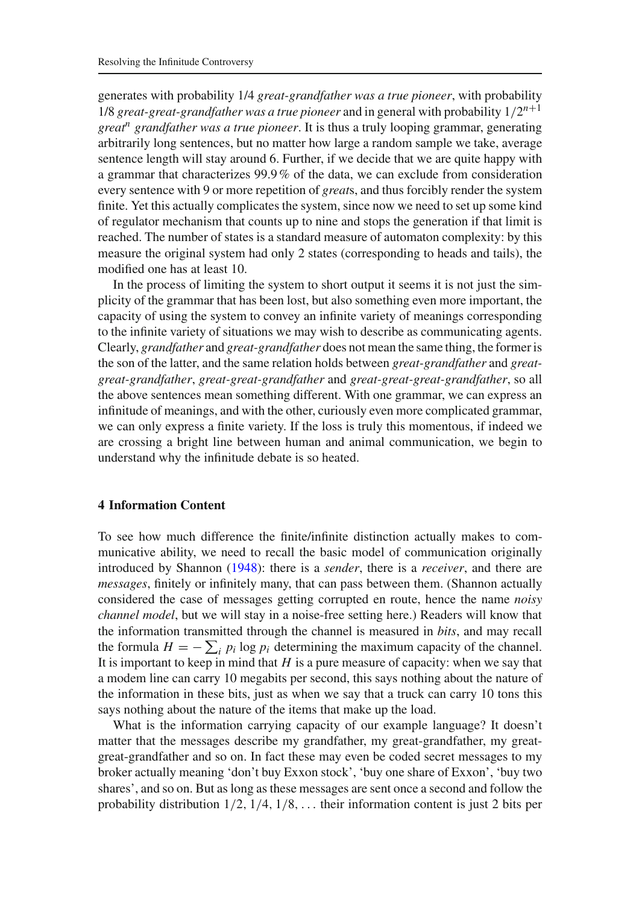generates with probability 1/4 *great-grandfather was a true pioneer*, with probability 1/8 *great-great-grandfather was a true pioneer* and in general with probability  $1/2^{n+1}$ *great<sup>n</sup>* grandfather was a true pioneer. It is thus a truly looping grammar, generating arbitrarily long sentences, but no matter how large a random sample we take, average sentence length will stay around 6. Further, if we decide that we are quite happy with a grammar that characterizes 99.9% of the data, we can exclude from consideration every sentence with 9 or more repetition of *great*s, and thus forcibly render the system finite. Yet this actually complicates the system, since now we need to set up some kind of regulator mechanism that counts up to nine and stops the generation if that limit is reached. The number of states is a standard measure of automaton complexity: by this measure the original system had only 2 states (corresponding to heads and tails), the modified one has at least 10.

In the process of limiting the system to short output it seems it is not just the simplicity of the grammar that has been lost, but also something even more important, the capacity of using the system to convey an infinite variety of meanings corresponding to the infinite variety of situations we may wish to describe as communicating agents. Clearly, *grandfather* and *great-grandfather* does not mean the same thing, the former is the son of the latter, and the same relation holds between *great-grandfather* and *greatgreat-grandfather*, *great-great-grandfather* and *great-great-great-grandfather*, so all the above sentences mean something different. With one grammar, we can express an infinitude of meanings, and with the other, curiously even more complicated grammar, we can only express a finite variety. If the loss is truly this momentous, if indeed we are crossing a bright line between human and animal communication, we begin to understand why the infinitude debate is so heated.

#### **4 Information Content**

To see how much difference the finite/infinite distinction actually makes to communicative ability, we need to recall the basic model of communication originally introduced by Shannon (1948): there is a *sender*, there is a *receiver*, and there are *messages*, finitely or infinitely many, that can pass between them. (Shannon actually considered the case of messages getting corrupted en route, hence the name *noisy channel model*, but we will stay in a noise-free setting here.) Readers will know that the information transmitted through the channel is measured in *bits*, and may recall the formula  $H = -\sum_i p_i \log p_i$  determining the maximum capacity of the channel. It is important to keep in mind that *H* is a pure measure of capacity: when we say that a modem line can carry 10 megabits per second, this says nothing about the nature of the information in these bits, just as when we say that a truck can carry 10 tons this says nothing about the nature of the items that make up the load.

What is the information carrying capacity of our example language? It doesn't matter that the messages describe my grandfather, my great-grandfather, my greatgreat-grandfather and so on. In fact these may even be coded secret messages to my broker actually meaning 'don't buy Exxon stock', 'buy one share of Exxon', 'buy two shares', and so on. But as long as these messages are sent once a second and follow the probability distribution  $1/2$ ,  $1/4$ ,  $1/8$ , ... their information content is just 2 bits per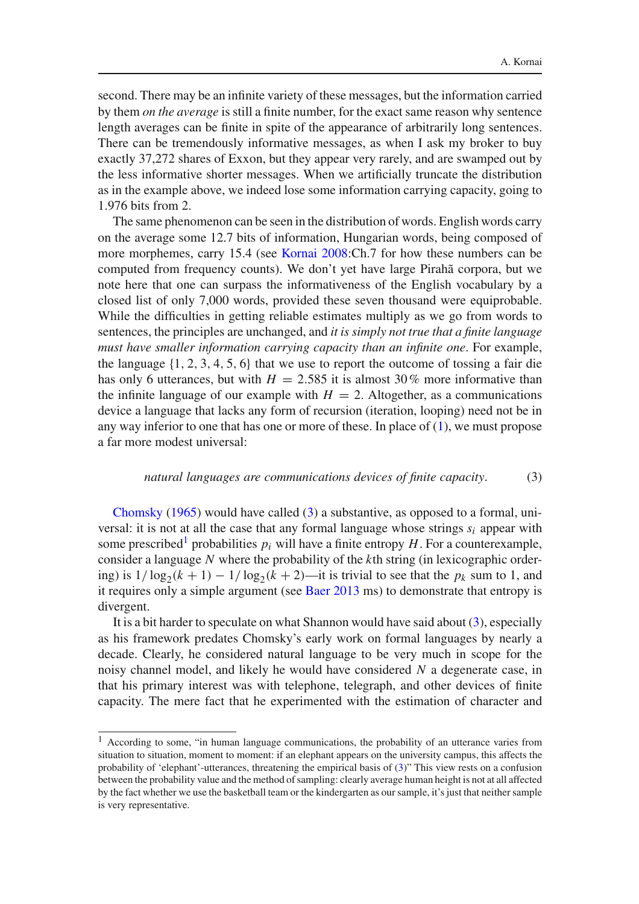second. There may be an infinite variety of these messages, but the information carried by them *on the average* is still a finite number, for the exact same reason why sentence length averages can be finite in spite of the appearance of arbitrarily long sentences. There can be tremendously informative messages, as when I ask my broker to buy exactly 37,272 shares of Exxon, but they appear very rarely, and are swamped out by the less informative shorter messages. When we artificially truncate the distribution as in the example above, we indeed lose some information carrying capacity, going to 1.976 bits from 2.

The same phenomenon can be seen in the distribution of words. English words carry on the average some 12.7 bits of information, Hungarian words, being composed of more morphemes, carry 15.4 (see Kornai 2008:Ch.7 for how these numbers can be computed from frequency counts). We don't yet have large Pirahã corpora, but we note here that one can surpass the informativeness of the English vocabulary by a closed list of only 7,000 words, provided these seven thousand were equiprobable. While the difficulties in getting reliable estimates multiply as we go from words to sentences, the principles are unchanged, and *it is simply not true that a finite language must have smaller information carrying capacity than an infinite one*. For example, the language  $\{1, 2, 3, 4, 5, 6\}$  that we use to report the outcome of tossing a fair die has only 6 utterances, but with  $H = 2.585$  it is almost 30% more informative than the infinite language of our example with  $H = 2$ . Altogether, as a communications device a language that lacks any form of recursion (iteration, looping) need not be in any way inferior to one that has one or more of these. In place of  $(1)$ , we must propose a far more modest universal:

## *natural languages are communications devices of finite capacity*. (3)

Chomsky (1965) would have called (3) a substantive, as opposed to a formal, universal: it is not at all the case that any formal language whose strings *si* appear with some prescribed<sup>1</sup> probabilities  $p_i$  will have a finite entropy *H*. For a counterexample, consider a language *N* where the probability of the *k*th string (in lexicographic ordering) is  $1/\log_2(k+1) - 1/\log_2(k+2)$ —it is trivial to see that the  $p_k$  sum to 1, and it requires only a simple argument (see Baer  $2013 \text{ ms}$ ) to demonstrate that entropy is divergent.

It is a bit harder to speculate on what Shannon would have said about (3), especially as his framework predates Chomsky's early work on formal languages by nearly a decade. Clearly, he considered natural language to be very much in scope for the noisy channel model, and likely he would have considered *N* a degenerate case, in that his primary interest was with telephone, telegraph, and other devices of finite capacity. The mere fact that he experimented with the estimation of character and

<sup>1</sup> According to some, "in human language communications, the probability of an utterance varies from situation to situation, moment to moment: if an elephant appears on the university campus, this affects the probability of 'elephant'-utterances, threatening the empirical basis of (3)" This view rests on a confusion between the probability value and the method of sampling: clearly average human height is not at all affected by the fact whether we use the basketball team or the kindergarten as our sample, it's just that neither sample is very representative.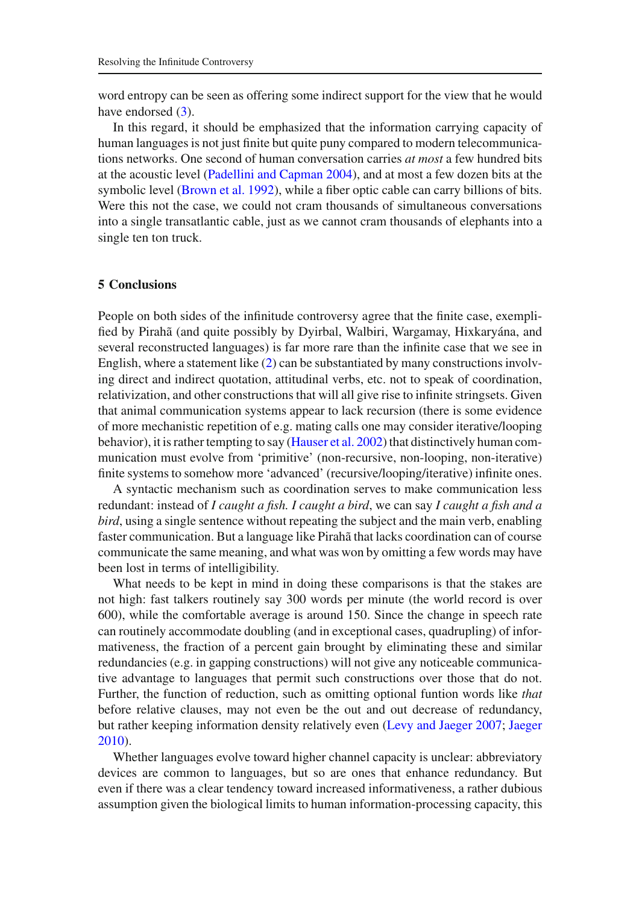word entropy can be seen as offering some indirect support for the view that he would have endorsed (3).

In this regard, it should be emphasized that the information carrying capacity of human languages is not just finite but quite puny compared to modern telecommunications networks. One second of human conversation carries *at most* a few hundred bits at the acoustic level (Padellini and Capman 2004), and at most a few dozen bits at the symbolic level (Brown et al. 1992), while a fiber optic cable can carry billions of bits. Were this not the case, we could not cram thousands of simultaneous conversations into a single transatlantic cable, just as we cannot cram thousands of elephants into a single ten ton truck.

### **5 Conclusions**

People on both sides of the infinitude controversy agree that the finite case, exemplified by Pirahã (and quite possibly by Dyirbal, Walbiri, Wargamay, Hixkaryána, and several reconstructed languages) is far more rare than the infinite case that we see in English, where a statement like (2) can be substantiated by many constructions involving direct and indirect quotation, attitudinal verbs, etc. not to speak of coordination, relativization, and other constructions that will all give rise to infinite stringsets. Given that animal communication systems appear to lack recursion (there is some evidence of more mechanistic repetition of e.g. mating calls one may consider iterative/looping behavior), it is rather tempting to say (Hauser et al. 2002) that distinctively human communication must evolve from 'primitive' (non-recursive, non-looping, non-iterative) finite systems to somehow more 'advanced' (recursive/looping/iterative) infinite ones.

A syntactic mechanism such as coordination serves to make communication less redundant: instead of *I caught a fish. I caught a bird*, we can say *I caught a fish and a bird*, using a single sentence without repeating the subject and the main verb, enabling faster communication. But a language like Pirahã that lacks coordination can of course communicate the same meaning, and what was won by omitting a few words may have been lost in terms of intelligibility.

What needs to be kept in mind in doing these comparisons is that the stakes are not high: fast talkers routinely say 300 words per minute (the world record is over 600), while the comfortable average is around 150. Since the change in speech rate can routinely accommodate doubling (and in exceptional cases, quadrupling) of informativeness, the fraction of a percent gain brought by eliminating these and similar redundancies (e.g. in gapping constructions) will not give any noticeable communicative advantage to languages that permit such constructions over those that do not. Further, the function of reduction, such as omitting optional funtion words like *that* before relative clauses, may not even be the out and out decrease of redundancy, but rather keeping information density relatively even (Levy and Jaeger 2007; Jaeger 2010).

Whether languages evolve toward higher channel capacity is unclear: abbreviatory devices are common to languages, but so are ones that enhance redundancy. But even if there was a clear tendency toward increased informativeness, a rather dubious assumption given the biological limits to human information-processing capacity, this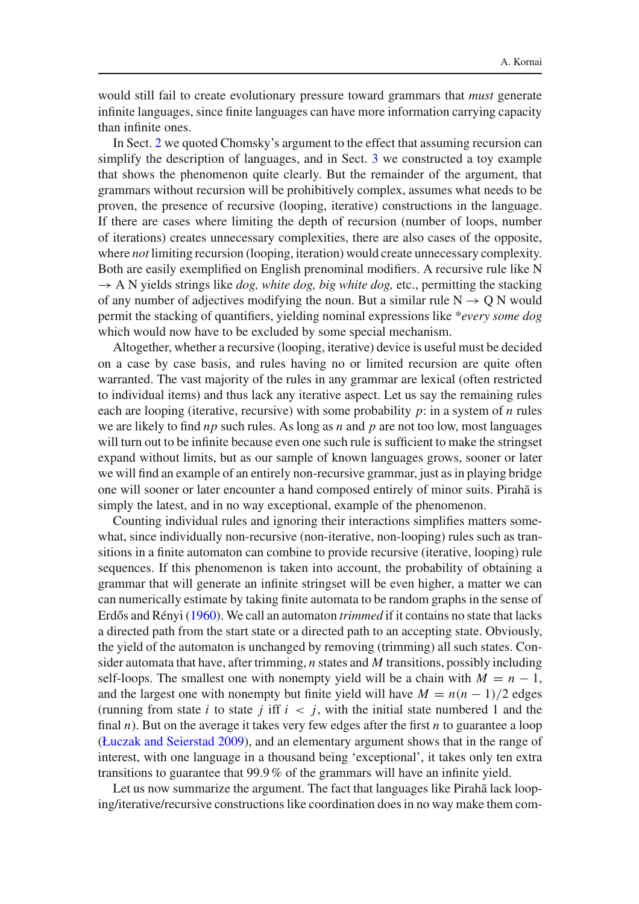would still fail to create evolutionary pressure toward grammars that *must* generate infinite languages, since finite languages can have more information carrying capacity than infinite ones.

In Sect. 2 we quoted Chomsky's argument to the effect that assuming recursion can simplify the description of languages, and in Sect. 3 we constructed a toy example that shows the phenomenon quite clearly. But the remainder of the argument, that grammars without recursion will be prohibitively complex, assumes what needs to be proven, the presence of recursive (looping, iterative) constructions in the language. If there are cases where limiting the depth of recursion (number of loops, number of iterations) creates unnecessary complexities, there are also cases of the opposite, where *not* limiting recursion (looping, iteration) would create unnecessary complexity. Both are easily exemplified on English prenominal modifiers. A recursive rule like N  $\rightarrow$  A N yields strings like *dog, white dog, big white dog,* etc., permitting the stacking of any number of adjectives modifying the noun. But a similar rule  $N \rightarrow Q N$  would permit the stacking of quantifiers, yielding nominal expressions like \**every some dog* which would now have to be excluded by some special mechanism.

Altogether, whether a recursive (looping, iterative) device is useful must be decided on a case by case basis, and rules having no or limited recursion are quite often warranted. The vast majority of the rules in any grammar are lexical (often restricted to individual items) and thus lack any iterative aspect. Let us say the remaining rules each are looping (iterative, recursive) with some probability *p*: in a system of *n* rules we are likely to find *np* such rules. As long as *n* and *p* are not too low, most languages will turn out to be infinite because even one such rule is sufficient to make the stringset expand without limits, but as our sample of known languages grows, sooner or later we will find an example of an entirely non-recursive grammar, just as in playing bridge one will sooner or later encounter a hand composed entirely of minor suits. Pirahã is simply the latest, and in no way exceptional, example of the phenomenon.

Counting individual rules and ignoring their interactions simplifies matters somewhat, since individually non-recursive (non-iterative, non-looping) rules such as transitions in a finite automaton can combine to provide recursive (iterative, looping) rule sequences. If this phenomenon is taken into account, the probability of obtaining a grammar that will generate an infinite stringset will be even higher, a matter we can can numerically estimate by taking finite automata to be random graphs in the sense of Erdős and Rényi (1960). We call an automaton *trimmed* if it contains no state that lacks a directed path from the start state or a directed path to an accepting state. Obviously, the yield of the automaton is unchanged by removing (trimming) all such states. Consider automata that have, after trimming, *n* states and *M* transitions, possibly including self-loops. The smallest one with nonempty yield will be a chain with  $M = n - 1$ , and the largest one with nonempty but finite yield will have  $M = n(n - 1)/2$  edges (running from state *i* to state *j* iff  $i < j$ , with the initial state numbered 1 and the final *n*). But on the average it takes very few edges after the first *n* to guarantee a loop (Łuczak and Seierstad 2009), and an elementary argument shows that in the range of interest, with one language in a thousand being 'exceptional', it takes only ten extra transitions to guarantee that 99.9% of the grammars will have an infinite yield.

Let us now summarize the argument. The fact that languages like Pirahã lack looping/iterative/recursive constructions like coordination does in no way make them com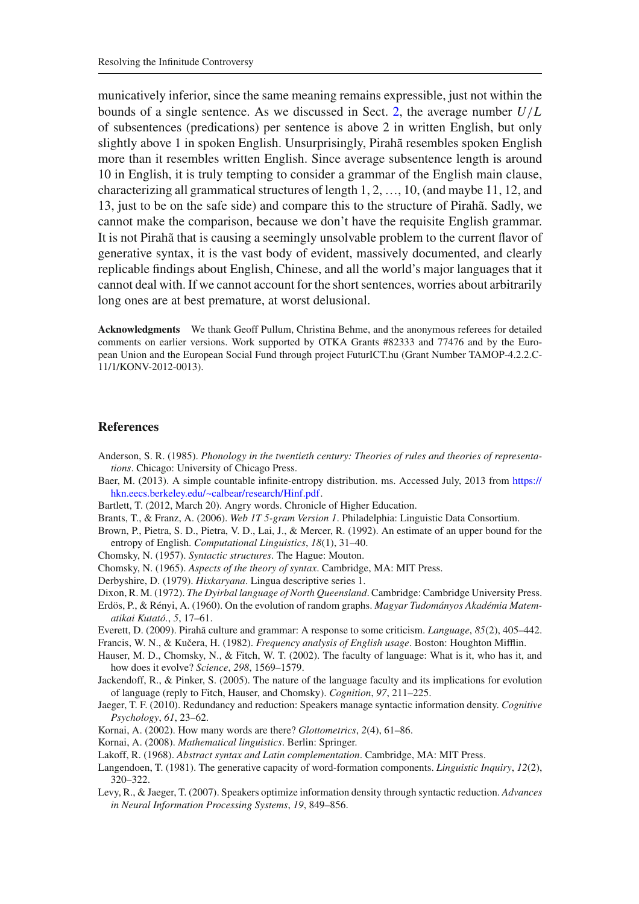municatively inferior, since the same meaning remains expressible, just not within the bounds of a single sentence. As we discussed in Sect. 2, the average number *U*/*L* of subsentences (predications) per sentence is above 2 in written English, but only slightly above 1 in spoken English. Unsurprisingly, Pirahã resembles spoken English more than it resembles written English. Since average subsentence length is around 10 in English, it is truly tempting to consider a grammar of the English main clause, characterizing all grammatical structures of length 1, 2, …, 10, (and maybe 11, 12, and 13, just to be on the safe side) and compare this to the structure of Pirahã. Sadly, we cannot make the comparison, because we don't have the requisite English grammar. It is not Pirahã that is causing a seemingly unsolvable problem to the current flavor of generative syntax, it is the vast body of evident, massively documented, and clearly replicable findings about English, Chinese, and all the world's major languages that it cannot deal with. If we cannot account for the short sentences, worries about arbitrarily long ones are at best premature, at worst delusional.

**Acknowledgments** We thank Geoff Pullum, Christina Behme, and the anonymous referees for detailed comments on earlier versions. Work supported by OTKA Grants #82333 and 77476 and by the European Union and the European Social Fund through project FuturICT.hu (Grant Number TAMOP-4.2.2.C-11/1/KONV-2012-0013).

#### **References**

- Anderson, S. R. (1985). *Phonology in the twentieth century: Theories of rules and theories of representations*. Chicago: University of Chicago Press.
- Baer, M. (2013). A simple countable infinite-entropy distribution. ms. Accessed July, 2013 from https:// hkn.eecs.berkeley.edu/~calbear/research/Hinf.pdf.
- Bartlett, T. (2012, March 20). Angry words. Chronicle of Higher Education.
- Brants, T., & Franz, A. (2006). *Web 1T 5-gram Version 1*. Philadelphia: Linguistic Data Consortium.
- Brown, P., Pietra, S. D., Pietra, V. D., Lai, J., & Mercer, R. (1992). An estimate of an upper bound for the entropy of English. *Computational Linguistics*, *18*(1), 31–40.
- Chomsky, N. (1957). *Syntactic structures*. The Hague: Mouton.
- Chomsky, N. (1965). *Aspects of the theory of syntax*. Cambridge, MA: MIT Press.
- Derbyshire, D. (1979). *Hixkaryana*. Lingua descriptive series 1.
- Dixon, R. M. (1972). *The Dyirbal language of North Queensland*. Cambridge: Cambridge University Press.
- Erdös, P., & Rényi, A. (1960). On the evolution of random graphs. *Magyar Tudományos Akadémia Matematikai Kutató.*, *5*, 17–61.
- Everett, D. (2009). Pirahã culture and grammar: A response to some criticism. *Language*, *85*(2), 405–442.
- Francis, W. N., & Kučera, H. (1982). *Frequency analysis of English usage*. Boston: Houghton Mifflin.
- Hauser, M. D., Chomsky, N., & Fitch, W. T. (2002). The faculty of language: What is it, who has it, and how does it evolve? *Science*, *298*, 1569–1579.
- Jackendoff, R., & Pinker, S. (2005). The nature of the language faculty and its implications for evolution of language (reply to Fitch, Hauser, and Chomsky). *Cognition*, *97*, 211–225.
- Jaeger, T. F. (2010). Redundancy and reduction: Speakers manage syntactic information density. *Cognitive Psychology*, *61*, 23–62.
- Kornai, A. (2002). How many words are there? *Glottometrics*, *2*(4), 61–86.
- Kornai, A. (2008). *Mathematical linguistics*. Berlin: Springer.
- Lakoff, R. (1968). *Abstract syntax and Latin complementation*. Cambridge, MA: MIT Press.
- Langendoen, T. (1981). The generative capacity of word-formation components. *Linguistic Inquiry*, *12*(2), 320–322.
- Levy, R., & Jaeger, T. (2007). Speakers optimize information density through syntactic reduction. *Advances in Neural Information Processing Systems*, *19*, 849–856.